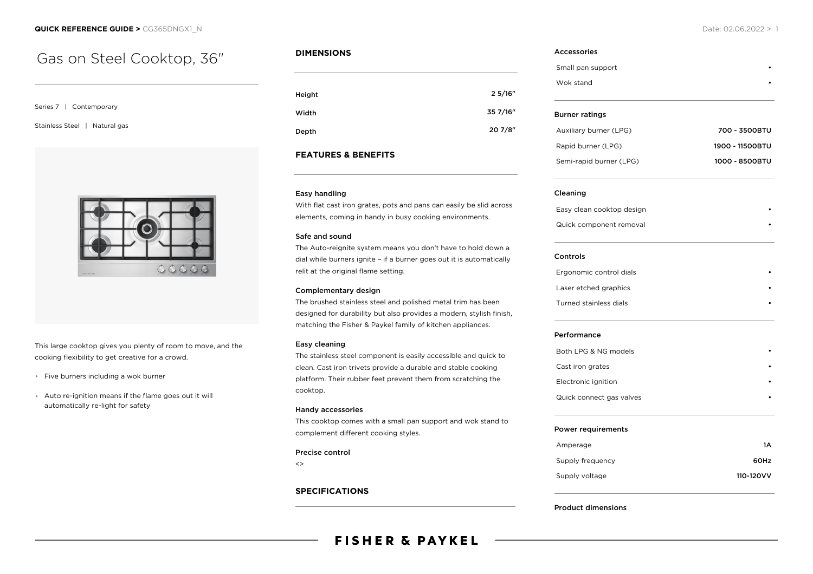# Gas on Steel Cooktop, 36"

Series 7 | Contemporary

Stainless Steel | Natural gas



This large cooktop gives you plenty of room to move, and the cooking flexibility to get creative for a crowd.

- \* Five burners including a wok burner
- Auto re-ignition means if the flame goes out it will automatically re-light for safety

## **DIMENSIONS**

| Height | 25/16"   |
|--------|----------|
| Width  | 35 7/16" |
| Depth  | 20 7/8"  |

## **FEATURES & BENEFITS**

### Easy handling

With flat cast iron grates, pots and pans can easily be slid across elements, coming in handy in busy cooking environments.

### Safe and sound

The Auto-reignite system means you don't have to hold down a dial while burners ignite – if a burner goes out it is automatically relit at the original flame setting.

### Complementary design

The brushed stainless steel and polished metal trim has been designed for durability but also provides a modern, stylish finish, matching the Fisher & Paykel family of kitchen appliances.

### Easy cleaning

The stainless steel component is easily accessible and quick to clean. Cast iron trivets provide a durable and stable cooking platform. Their rubber feet prevent them from scratching the cooktop.

### Handy accessories

This cooktop comes with a small pan support and wok stand to complement different cooking styles.

### Precise control

 $\leftrightarrow$ 

### **SPECIFICATIONS**

# Accessories Small pan support Wok stand

| <b>Burner ratings</b>   |                 |
|-------------------------|-----------------|
| Auxiliary burner (LPG)  | 700 - 3500BTU   |
| Rapid burner (LPG)      | 1900 - 11500BTU |
| Semi-rapid burner (LPG) | 1000 - 8500BTU  |

### Cleaning

Easy clean cooktop design • Quick component removal

### Controls

| Ergonomic control dials |  |
|-------------------------|--|
| Laser etched graphics   |  |
| Turned stainless dials  |  |

### Performance

| Both LPG & NG models     |  |
|--------------------------|--|
| Cast iron grates         |  |
| Electronic ignition      |  |
| Quick connect gas valves |  |

### Power requirements

| 1A        |
|-----------|
| 60Hz      |
| 110-120VV |
|           |

#### Product dimensions

# **FISHER & PAYKEL**